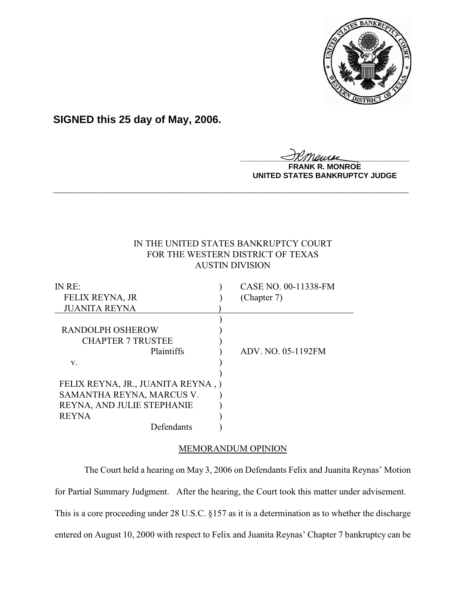

**SIGNED this 25 day of May, 2006.**

<u>IKThemse</u>

**MONROE UNITED STATES BANKRUPTCY JUDGE**

# IN THE UNITED STATES BANKRUPTCY COURT FOR THE WESTERN DISTRICT OF TEXAS AUSTIN DIVISION

**\_\_\_\_\_\_\_\_\_\_\_\_\_\_\_\_\_\_\_\_\_\_\_\_\_\_\_\_\_\_\_\_\_\_\_\_\_\_\_\_\_\_\_\_\_\_\_\_\_\_\_\_\_\_\_\_\_\_\_\_**

| CASE NO. 00-11338-FM               |
|------------------------------------|
| (Chapter 7)                        |
|                                    |
|                                    |
|                                    |
|                                    |
| ADV. NO. 05-1192FM                 |
|                                    |
|                                    |
| FELIX REYNA, JR., JUANITA REYNA, ) |
|                                    |
|                                    |
|                                    |
|                                    |
|                                    |

## MEMORANDUM OPINION

The Court held a hearing on May 3, 2006 on Defendants Felix and Juanita Reynas' Motion

for Partial Summary Judgment. After the hearing, the Court took this matter under advisement.

This is a core proceeding under 28 U.S.C. §157 as it is a determination as to whether the discharge

entered on August 10, 2000 with respect to Felix and Juanita Reynas' Chapter 7 bankruptcy can be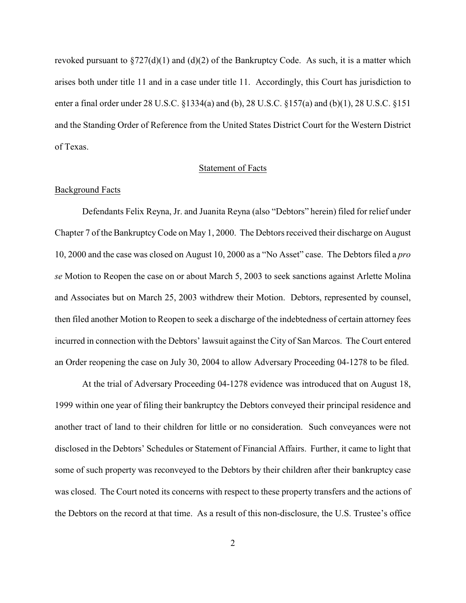revoked pursuant to  $\S727(d)(1)$  and  $(d)(2)$  of the Bankruptcy Code. As such, it is a matter which arises both under title 11 and in a case under title 11. Accordingly, this Court has jurisdiction to enter a final order under 28 U.S.C. §1334(a) and (b), 28 U.S.C. §157(a) and (b)(1), 28 U.S.C. §151 and the Standing Order of Reference from the United States District Court for the Western District of Texas.

### Statement of Facts

#### Background Facts

Defendants Felix Reyna, Jr. and Juanita Reyna (also "Debtors" herein) filed for relief under Chapter 7 of the BankruptcyCode on May 1, 2000. The Debtors received their discharge on August 10, 2000 and the case was closed on August 10, 2000 as a "No Asset" case. The Debtors filed a *pro se* Motion to Reopen the case on or about March 5, 2003 to seek sanctions against Arlette Molina and Associates but on March 25, 2003 withdrew their Motion. Debtors, represented by counsel, then filed another Motion to Reopen to seek a discharge of the indebtedness of certain attorney fees incurred in connection with the Debtors' lawsuit against the City of San Marcos. The Court entered an Order reopening the case on July 30, 2004 to allow Adversary Proceeding 04-1278 to be filed.

At the trial of Adversary Proceeding 04-1278 evidence was introduced that on August 18, 1999 within one year of filing their bankruptcy the Debtors conveyed their principal residence and another tract of land to their children for little or no consideration. Such conveyances were not disclosed in the Debtors' Schedules or Statement of Financial Affairs. Further, it came to light that some of such property was reconveyed to the Debtors by their children after their bankruptcy case was closed. The Court noted its concerns with respect to these property transfers and the actions of the Debtors on the record at that time. As a result of this non-disclosure, the U.S. Trustee's office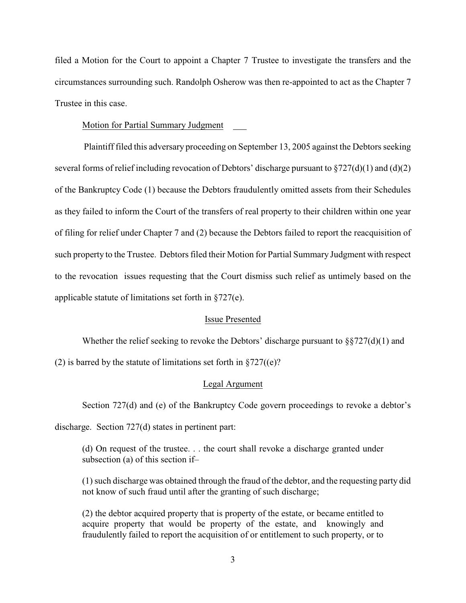filed a Motion for the Court to appoint a Chapter 7 Trustee to investigate the transfers and the circumstances surrounding such. Randolph Osherow was then re-appointed to act as the Chapter 7 Trustee in this case.

#### Motion for Partial Summary Judgment

 Plaintiff filed this adversary proceeding on September 13, 2005 against the Debtors seeking several forms of relief including revocation of Debtors' discharge pursuant to  $\S 727(d)(1)$  and (d)(2) of the Bankruptcy Code (1) because the Debtors fraudulently omitted assets from their Schedules as they failed to inform the Court of the transfers of real property to their children within one year of filing for relief under Chapter 7 and (2) because the Debtors failed to report the reacquisition of such property to the Trustee. Debtors filed their Motion for Partial Summary Judgment with respect to the revocation issues requesting that the Court dismiss such relief as untimely based on the applicable statute of limitations set forth in §727(e).

#### Issue Presented

Whether the relief seeking to revoke the Debtors' discharge pursuant to  $\S727(d)(1)$  and

(2) is barred by the statute of limitations set forth in  $\S 727$ ((e)?

#### Legal Argument

Section 727(d) and (e) of the Bankruptcy Code govern proceedings to revoke a debtor's

discharge. Section 727(d) states in pertinent part:

(d) On request of the trustee. . . the court shall revoke a discharge granted under subsection (a) of this section if–

(1) such discharge was obtained through the fraud of the debtor, and the requesting party did not know of such fraud until after the granting of such discharge;

(2) the debtor acquired property that is property of the estate, or became entitled to acquire property that would be property of the estate, and knowingly and fraudulently failed to report the acquisition of or entitlement to such property, or to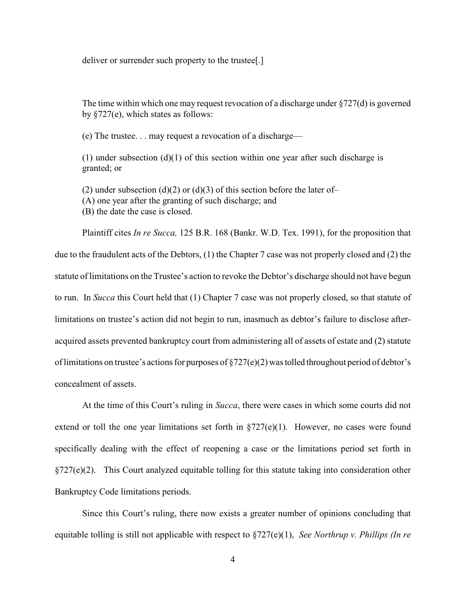deliver or surrender such property to the trustee[.]

The time within which one may request revocation of a discharge under §727(d) is governed by §727(e), which states as follows:

(e) The trustee. . . may request a revocation of a discharge—

(1) under subsection  $(d)(1)$  of this section within one year after such discharge is granted; or

(2) under subsection (d)(2) or (d)(3) of this section before the later of-

(A) one year after the granting of such discharge; and

(B) the date the case is closed.

Plaintiff cites *In re Succa,* 125 B.R. 168 (Bankr. W.D. Tex. 1991), for the proposition that due to the fraudulent acts of the Debtors, (1) the Chapter 7 case was not properly closed and (2) the statute of limitations on the Trustee's action to revoke the Debtor's discharge should not have begun to run. In *Succa* this Court held that (1) Chapter 7 case was not properly closed, so that statute of limitations on trustee's action did not begin to run, inasmuch as debtor's failure to disclose afteracquired assets prevented bankruptcy court from administering all of assets of estate and (2) statute of limitations on trustee's actions for purposes of §727(e)(2) was tolled throughout period of debtor's concealment of assets.

At the time of this Court's ruling in *Succa*, there were cases in which some courts did not extend or toll the one year limitations set forth in  $\S727(e)(1)$ . However, no cases were found specifically dealing with the effect of reopening a case or the limitations period set forth in §727(e)(2). This Court analyzed equitable tolling for this statute taking into consideration other Bankruptcy Code limitations periods.

Since this Court's ruling, there now exists a greater number of opinions concluding that equitable tolling is still not applicable with respect to §727(e)(1), *See Northrup v. Phillips (In re*